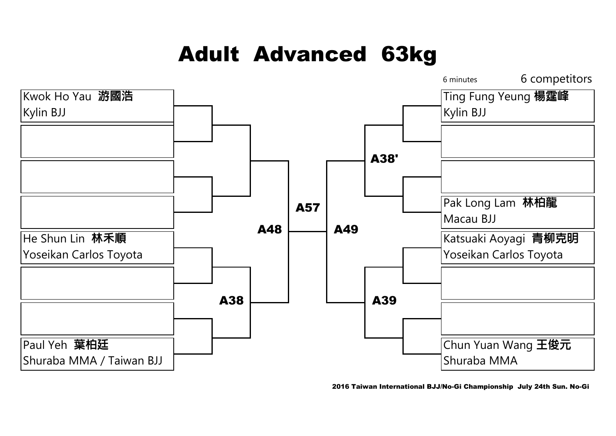#### Adult Advanced 63kg



2016 Taiwan International BJJ/No-Gi Championship July 24th Sun. No-Gi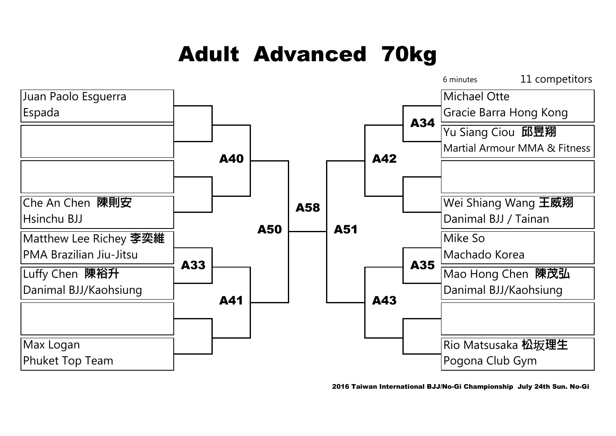# Adult Advanced 70kg



2016 Taiwan International BJJ/No-Gi Championship July 24th Sun. No-Gi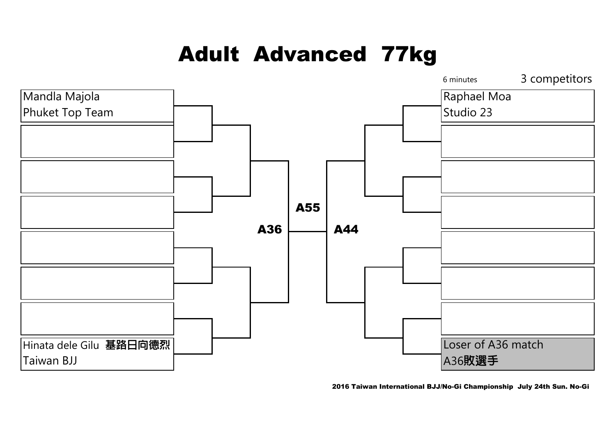## Adult Advanced 77kg



2016 Taiwan International BJJ/No-Gi Championship July 24th Sun. No-Gi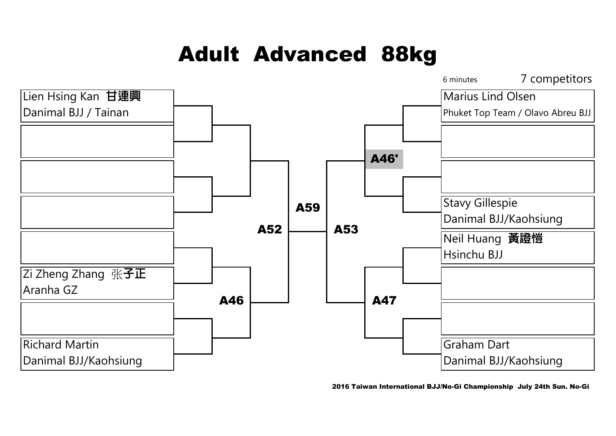## Adult Advanced 88kg



2016 Taiwan International BJJ/No-Gi Championship July 24th Sun. No-Gi